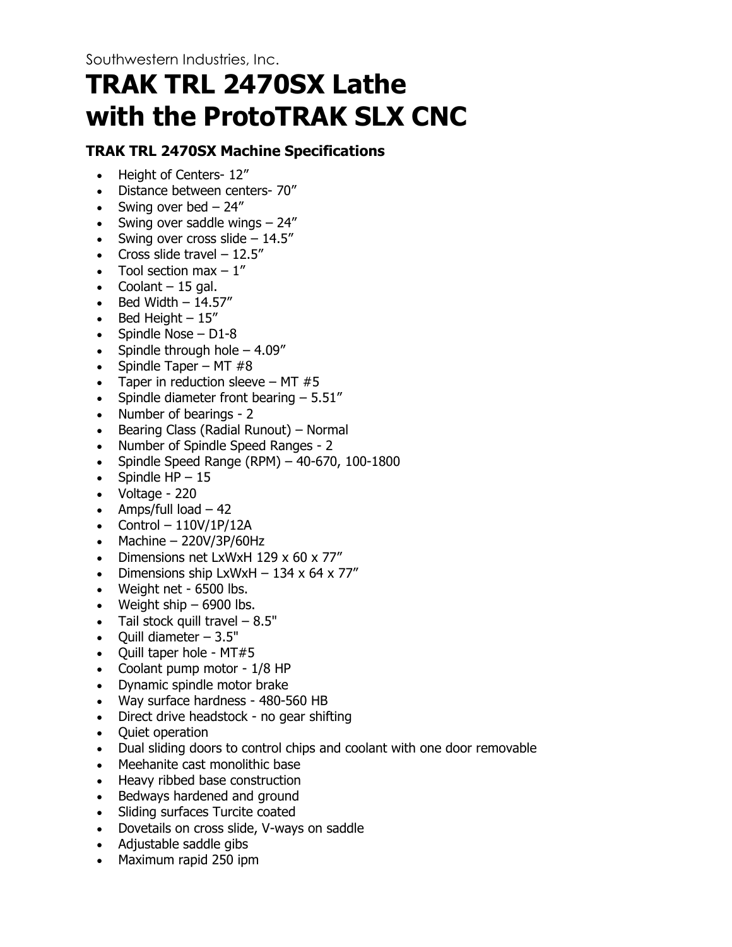# **TRAK TRL 2470SX Lathe with the ProtoTRAK SLX CNC**

#### **TRAK TRL 2470SX Machine Specifications**

- Height of Centers- 12"
- Distance between centers- 70"
- Swing over bed  $-24$ "
- Swing over saddle wings  $-24$ "
- Swing over cross slide  $-14.5$ "
- Cross slide travel  $-12.5$ "
- Tool section max  $-1$ "
- Coolant  $-15$  gal.
- $\bullet$  Bed Width  $-14.57''$
- Bed Height  $-15$ "
- Spindle Nose D1-8
- Spindle through hole  $-4.09''$
- Spindle Taper MT  $#8$
- Taper in reduction sleeve MT  $#5$
- Spindle diameter front bearing  $-5.51''$
- Number of bearings 2
- Bearing Class (Radial Runout) Normal
- Number of Spindle Speed Ranges 2
- Spindle Speed Range (RPM) 40-670, 100-1800
- Spindle  $HP 15$
- Voltage 220
- Amps/full  $load 42$
- Control  $-110V/1P/12A$
- Machine  $-$  220V/3P/60Hz
- Dimensions net LxWxH 129 x 60 x 77"
- Dimensions ship LxWxH  $-$  134 x 64 x 77"
- Weight net 6500 lbs.
- Weight ship  $-6900$  lbs.
- Tail stock quill travel  $-8.5"$
- $\bullet$  Ouill diameter  $-3.5"$
- Quill taper hole MT#5
- Coolant pump motor 1/8 HP
- Dynamic spindle motor brake
- Way surface hardness 480-560 HB
- Direct drive headstock no gear shifting
- Quiet operation
- Dual sliding doors to control chips and coolant with one door removable
- Meehanite cast monolithic base
- Heavy ribbed base construction
- Bedways hardened and ground
- Sliding surfaces Turcite coated
- Dovetails on cross slide, V-ways on saddle
- Adjustable saddle gibs
- Maximum rapid 250 ipm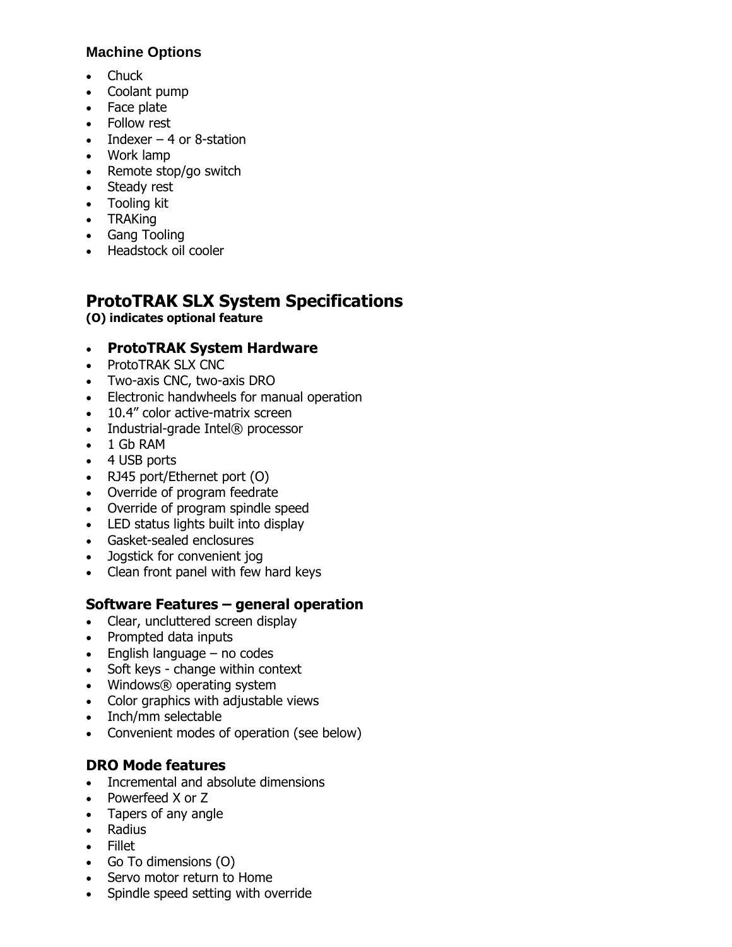#### **Machine Options**

- Chuck
- Coolant pump
- Face plate
- Follow rest
- $\bullet$  Indexer 4 or 8-station
- Work lamp
- Remote stop/go switch
- Steady rest
- Tooling kit
- TRAKing
- Gang Tooling
- Headstock oil cooler

## **ProtoTRAK SLX System Specifications**

**(O) indicates optional feature**

#### • **ProtoTRAK System Hardware**

- ProtoTRAK SLX CNC
- Two-axis CNC, two-axis DRO
- Electronic handwheels for manual operation
- 10.4" color active-matrix screen
- Industrial-grade Intel® processor
- 1 Gb RAM
- 4 USB ports
- RJ45 port/Ethernet port (O)
- Override of program feedrate
- Override of program spindle speed
- LED status lights built into display
- Gasket-sealed enclosures
- Jogstick for convenient jog
- Clean front panel with few hard keys

#### **Software Features – general operation**

- Clear, uncluttered screen display
- Prompted data inputs
- $\bullet$  English language no codes
- Soft keys change within context
- Windows® operating system
- Color graphics with adjustable views
- Inch/mm selectable
- Convenient modes of operation (see below)

#### **DRO Mode features**

- Incremental and absolute dimensions
- Powerfeed X or Z
- Tapers of any angle
- Radius
- Fillet
- Go To dimensions (O)
- Servo motor return to Home
- Spindle speed setting with override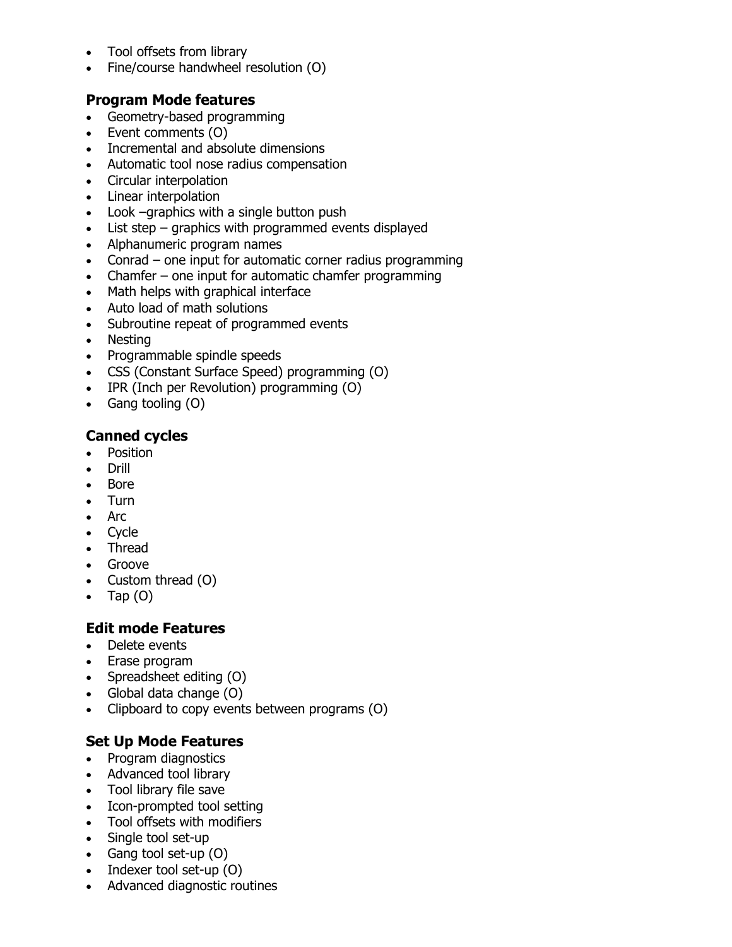- Tool offsets from library
- Fine/course handwheel resolution (O)

#### **Program Mode features**

- Geometry-based programming
- Event comments (O)
- Incremental and absolute dimensions
- Automatic tool nose radius compensation
- Circular interpolation
- Linear interpolation
- Look –graphics with a single button push
- List step graphics with programmed events displayed
- Alphanumeric program names
- Conrad one input for automatic corner radius programming
- Chamfer one input for automatic chamfer programming
- Math helps with graphical interface
- Auto load of math solutions
- Subroutine repeat of programmed events
- Nesting
- Programmable spindle speeds
- CSS (Constant Surface Speed) programming (O)
- IPR (Inch per Revolution) programming (O)
- Gang tooling (O)

#### **Canned cycles**

- Position
- Drill
- Bore
- Turn
- Arc
- Cycle
- Thread
- Groove
- Custom thread (O)
- Tap  $(O)$

#### **Edit mode Features**

- Delete events
- Erase program
- Spreadsheet editing (O)
- Global data change (O)
- Clipboard to copy events between programs (O)

#### **Set Up Mode Features**

- Program diagnostics
- Advanced tool library
- Tool library file save
- Icon-prompted tool setting
- Tool offsets with modifiers
- Single tool set-up
- Gang tool set-up (O)
- Indexer tool set-up (O)
- Advanced diagnostic routines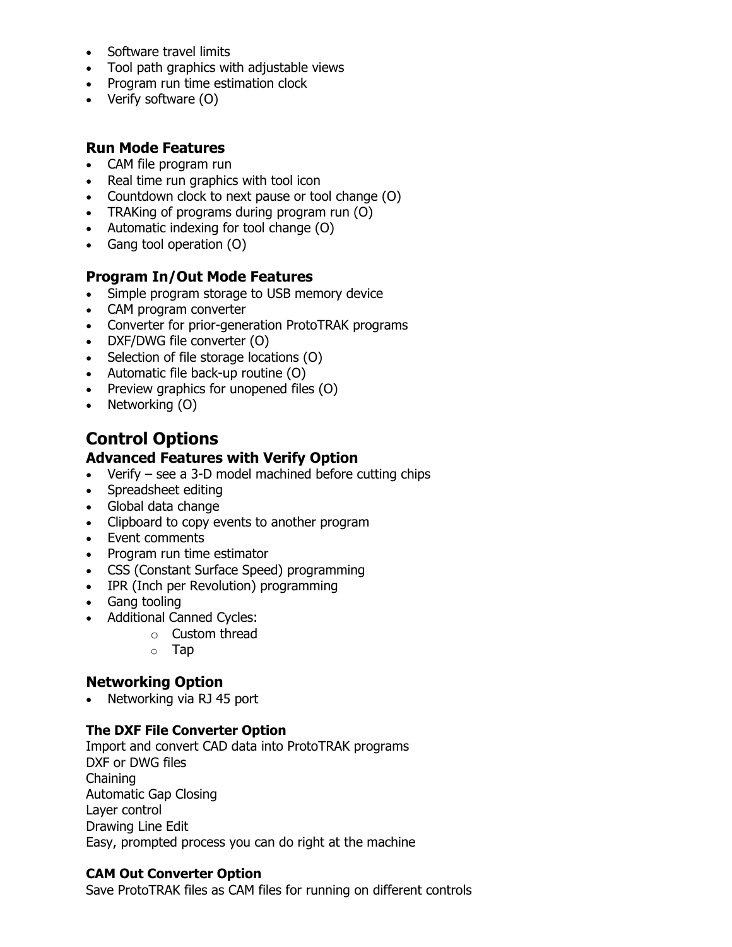- Software travel limits
- Tool path graphics with adjustable views
- Program run time estimation clock
- Verify software (O)

#### **Run Mode Features**

- CAM file program run
- Real time run graphics with tool icon
- Countdown clock to next pause or tool change (O)
- TRAKing of programs during program run (O)
- Automatic indexing for tool change (O)
- Gang tool operation (O)

#### **Program In/Out Mode Features**

- Simple program storage to USB memory device
- CAM program converter
- Converter for prior-generation ProtoTRAK programs
- DXF/DWG file converter (O)
- Selection of file storage locations (O)
- Automatic file back-up routine (O)
- Preview graphics for unopened files (O)
- Networking (O)

### **Control Options**

#### **Advanced Features with Verify Option**

- Verify see a 3-D model machined before cutting chips
- Spreadsheet editing
- Global data change
- Clipboard to copy events to another program
- Event comments
- Program run time estimator
- CSS (Constant Surface Speed) programming
- IPR (Inch per Revolution) programming
- Gang tooling
- Additional Canned Cycles:
	- o Custom thread
	- o Tap

#### **Networking Option**

• Networking via RJ 45 port

#### **The DXF File Converter Option**

Import and convert CAD data into ProtoTRAK programs DXF or DWG files Chaining Automatic Gap Closing Layer control Drawing Line Edit Easy, prompted process you can do right at the machine

#### **CAM Out Converter Option**

Save ProtoTRAK files as CAM files for running on different controls